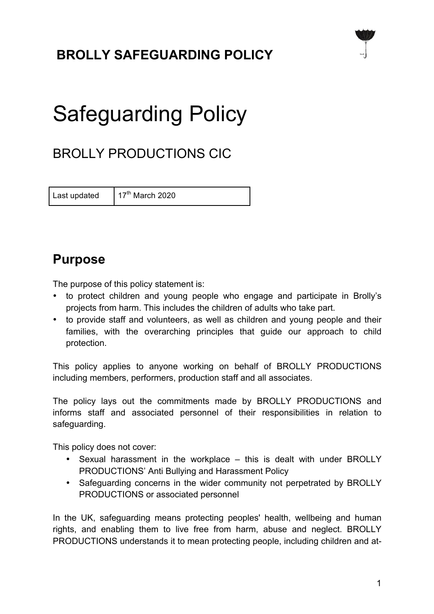# **BROLLY SAFEGUARDING POLICY**



# Safeguarding Policy

# BROLLY PRODUCTIONS CIC

Last updated  $17<sup>th</sup>$  March 2020

### **Purpose**

The purpose of this policy statement is:

- to protect children and young people who engage and participate in Brolly's projects from harm. This includes the children of adults who take part.
- to provide staff and volunteers, as well as children and young people and their families, with the overarching principles that guide our approach to child protection.

This policy applies to anyone working on behalf of BROLLY PRODUCTIONS including members, performers, production staff and all associates.

The policy lays out the commitments made by BROLLY PRODUCTIONS and informs staff and associated personnel of their responsibilities in relation to safeguarding.

This policy does not cover:

- Sexual harassment in the workplace this is dealt with under BROLLY PRODUCTIONS' Anti Bullying and Harassment Policy
- Safeguarding concerns in the wider community not perpetrated by BROLLY PRODUCTIONS or associated personnel

In the UK, safeguarding means protecting peoples' health, wellbeing and human rights, and enabling them to live free from harm, abuse and neglect. BROLLY PRODUCTIONS understands it to mean protecting people, including children and at-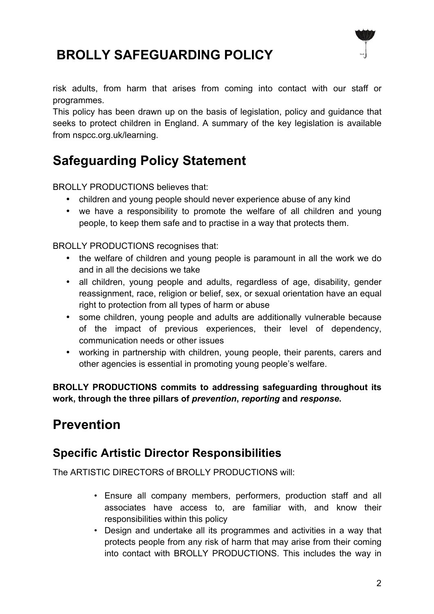



risk adults, from harm that arises from coming into contact with our staff or programmes.

This policy has been drawn up on the basis of legislation, policy and guidance that seeks to protect children in England. A summary of the key legislation is available from nspcc.org.uk/learning.

### **Safeguarding Policy Statement**

BROLLY PRODUCTIONS believes that:

- children and young people should never experience abuse of any kind
- we have a responsibility to promote the welfare of all children and young people, to keep them safe and to practise in a way that protects them.

BROLLY PRODUCTIONS recognises that:

- the welfare of children and young people is paramount in all the work we do and in all the decisions we take
- all children, young people and adults, regardless of age, disability, gender reassignment, race, religion or belief, sex, or sexual orientation have an equal right to protection from all types of harm or abuse
- some children, young people and adults are additionally vulnerable because of the impact of previous experiences, their level of dependency, communication needs or other issues
- working in partnership with children, young people, their parents, carers and other agencies is essential in promoting young people's welfare.

**BROLLY PRODUCTIONS commits to addressing safeguarding throughout its work, through the three pillars of** *prevention***,** *reporting* **and** *response***.**

### **Prevention**

#### **Specific Artistic Director Responsibilities**

The ARTISTIC DIRECTORS of BROLLY PRODUCTIONS will:

- Ensure all company members, performers, production staff and all associates have access to, are familiar with, and know their responsibilities within this policy
- Design and undertake all its programmes and activities in a way that protects people from any risk of harm that may arise from their coming into contact with BROLLY PRODUCTIONS. This includes the way in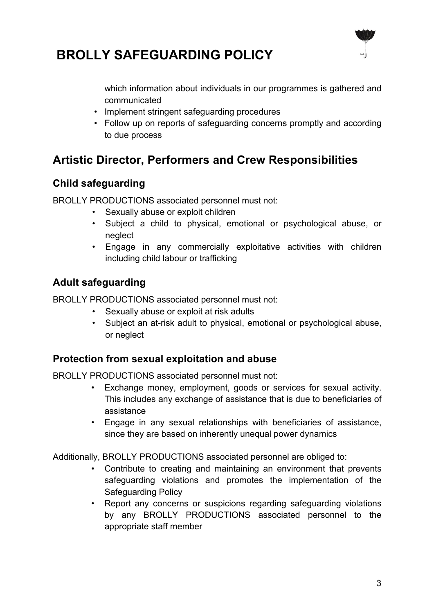



which information about individuals in our programmes is gathered and communicated

- Implement stringent safeguarding procedures
- Follow up on reports of safeguarding concerns promptly and according to due process

#### **Artistic Director, Performers and Crew Responsibilities**

#### **Child safeguarding**

BROLLY PRODUCTIONS associated personnel must not:

- Sexually abuse or exploit children
- Subject a child to physical, emotional or psychological abuse, or neglect
- Engage in any commercially exploitative activities with children including child labour or trafficking

#### **Adult safeguarding**

BROLLY PRODUCTIONS associated personnel must not:

- Sexually abuse or exploit at risk adults
- Subject an at-risk adult to physical, emotional or psychological abuse, or neglect

#### **Protection from sexual exploitation and abuse**

BROLLY PRODUCTIONS associated personnel must not:

- Exchange money, employment, goods or services for sexual activity. This includes any exchange of assistance that is due to beneficiaries of assistance
- Engage in any sexual relationships with beneficiaries of assistance, since they are based on inherently unequal power dynamics

Additionally, BROLLY PRODUCTIONS associated personnel are obliged to:

- Contribute to creating and maintaining an environment that prevents safeguarding violations and promotes the implementation of the Safeguarding Policy
- Report any concerns or suspicions regarding safeguarding violations by any BROLLY PRODUCTIONS associated personnel to the appropriate staff member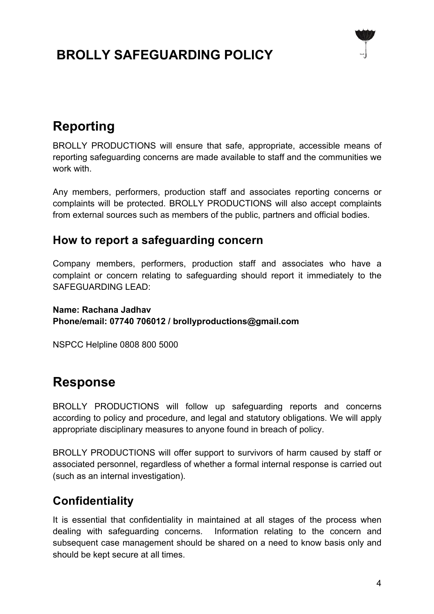### **BROLLY SAFEGUARDING POLICY**



### **Reporting**

BROLLY PRODUCTIONS will ensure that safe, appropriate, accessible means of reporting safeguarding concerns are made available to staff and the communities we work with.

Any members, performers, production staff and associates reporting concerns or complaints will be protected. BROLLY PRODUCTIONS will also accept complaints from external sources such as members of the public, partners and official bodies.

#### **How to report a safeguarding concern**

Company members, performers, production staff and associates who have a complaint or concern relating to safeguarding should report it immediately to the SAFEGUARDING LEAD:

**Name: Rachana Jadhav Phone/email: 07740 706012 / brollyproductions@gmail.com**

NSPCC Helpline 0808 800 5000

### **Response**

BROLLY PRODUCTIONS will follow up safeguarding reports and concerns according to policy and procedure, and legal and statutory obligations. We will apply appropriate disciplinary measures to anyone found in breach of policy.

BROLLY PRODUCTIONS will offer support to survivors of harm caused by staff or associated personnel, regardless of whether a formal internal response is carried out (such as an internal investigation).

### **Confidentiality**

It is essential that confidentiality in maintained at all stages of the process when dealing with safeguarding concerns. Information relating to the concern and subsequent case management should be shared on a need to know basis only and should be kept secure at all times.